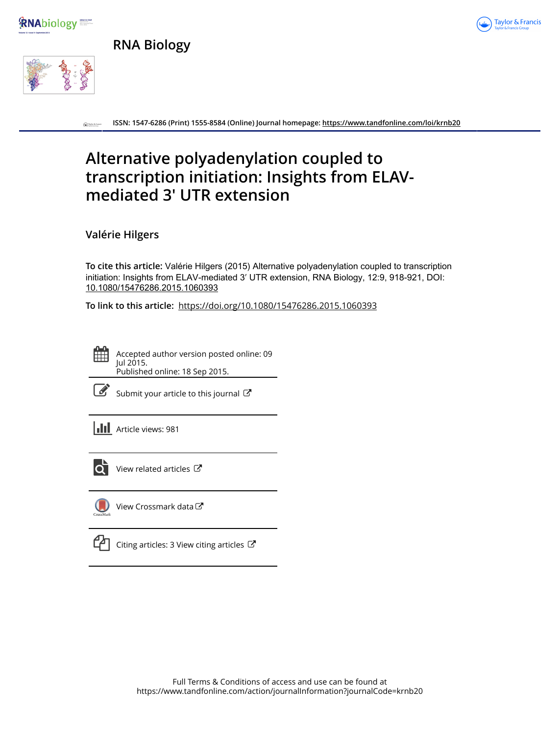







**ISSN: 1547-6286 (Print) 1555-8584 (Online) Journal homepage:<https://www.tandfonline.com/loi/krnb20>**  $\bigodot$  Taylor &

# **Alternative polyadenylation coupled to transcription initiation: Insights from ELAVmediated 3′ UTR extension**

**Valérie Hilgers**

**To cite this article:** Valérie Hilgers (2015) Alternative polyadenylation coupled to transcription initiation: Insights from ELAV-mediated 3′ UTR extension, RNA Biology, 12:9, 918-921, DOI: [10.1080/15476286.2015.1060393](https://www.tandfonline.com/action/showCitFormats?doi=10.1080/15476286.2015.1060393)

**To link to this article:** <https://doi.org/10.1080/15476286.2015.1060393>

Accepted author version posted online: 09 Jul 2015. Published online: 18 Sep 2015.

| ۰. |
|----|
|----|

[Submit your article to this journal](https://www.tandfonline.com/action/authorSubmission?journalCode=krnb20&show=instructions)  $\mathbb{Z}$ 

**III** Article views: 981



 $\overrightarrow{Q}$  [View related articles](https://www.tandfonline.com/doi/mlt/10.1080/15476286.2015.1060393)  $\overrightarrow{C}$ 



[View Crossmark data](http://crossmark.crossref.org/dialog/?doi=10.1080/15476286.2015.1060393&domain=pdf&date_stamp=2015-07-09)

[Citing articles: 3 View citing articles](https://www.tandfonline.com/doi/citedby/10.1080/15476286.2015.1060393#tabModule) C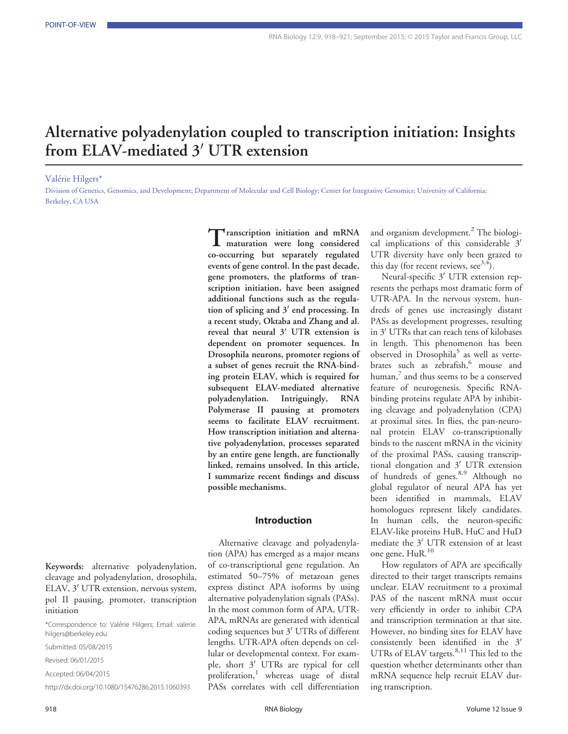## Alternative polyadenylation coupled to transcription initiation: Insights from ELAV-mediated  $3'$  UTR extension

Valérie Hilgers\*

Division of Genetics, Genomics, and Development; Department of Molecular and Cell Biology; Center for Integrative Genomics; University of California; Berkeley, CA USA

> Transcription initiation and mRNA maturation were long considered co-occurring but separately regulated events of gene control. In the past decade, gene promoters, the platforms of transcription initiation, have been assigned additional functions such as the regulation of splicing and  $3'$  end processing. In a recent study, Oktaba and Zhang and al. reveal that neural  $3'$  UTR extension is dependent on promoter sequences. In Drosophila neurons, promoter regions of a subset of genes recruit the RNA-binding protein ELAV, which is required for subsequent ELAV-mediated alternative polyadenylation. Intriguingly, RNA Polymerase II pausing at promoters seems to facilitate ELAV recruitment. How transcription initiation and alternative polyadenylation, processes separated by an entire gene length, are functionally linked, remains unsolved. In this article, I summarize recent findings and discuss possible mechanisms.

#### Introduction

Alternative cleavage and polyadenylation (APA) has emerged as a major means of co-transcriptional gene regulation. An estimated 50–75% of metazoan genes express distinct APA isoforms by using alternative polyadenylation signals (PASs). In the most common form of APA, UTR-APA, mRNAs are generated with identical coding sequences but 3' UTRs of different lengths. UTR-APA often depends on cellular or developmental context. For example, short  $3'$  UTRs are typical for cell proliferation,<sup>1</sup> whereas usage of distal PASs correlates with cell differentiation

and organism development.<sup>2</sup> The biological implications of this considerable  $3'$ UTR diversity have only been grazed to this day (for recent reviews,  $\sec^{3,4}$ ).

Neural-specific 3' UTR extension represents the perhaps most dramatic form of UTR-APA. In the nervous system, hundreds of genes use increasingly distant PASs as development progresses, resulting in 3' UTRs that can reach tens of kilobases in length. This phenomenon has been observed in Drosophila<sup>5</sup> as well as vertebrates such as zebrafish,<sup>6</sup> mouse and  $human<sub>1</sub><sup>7</sup>$  and thus seems to be a conserved feature of neurogenesis. Specific RNAbinding proteins regulate APA by inhibiting cleavage and polyadenylation (CPA) at proximal sites. In flies, the pan-neuronal protein ELAV co-transcriptionally binds to the nascent mRNA in the vicinity of the proximal PASs, causing transcriptional elongation and  $3'$  UTR extension of hundreds of genes.<sup>8,9</sup> Although no global regulator of neural APA has yet been identified in mammals, ELAV homologues represent likely candidates. In human cells, the neuron-specific ELAV-like proteins HuB, HuC and HuD mediate the  $3'$  UTR extension of at least one gene, HuR.<sup>10</sup>

How regulators of APA are specifically directed to their target transcripts remains unclear. ELAV recruitment to a proximal PAS of the nascent mRNA must occur very efficiently in order to inhibit CPA and transcription termination at that site. However, no binding sites for ELAV have consistently been identified in the  $3'$ UTRs of ELAV targets. $8,11$  This led to the question whether determinants other than mRNA sequence help recruit ELAV during transcription.

Keywords: alternative polyadenylation, cleavage and polyadenylation, drosophila, ELAV, 3' UTR extension, nervous system, pol II pausing, promoter, transcription initiation

Submitted: 05/08/2015

Revised: 06/01/2015

Accepted: 06/04/2015

http://dx.doi.org/10.1080/15476286.2015.1060393

<sup>\*</sup>Correspondence to: Valerie Hilgers; Email: valerie. hilgers@berkeley.edu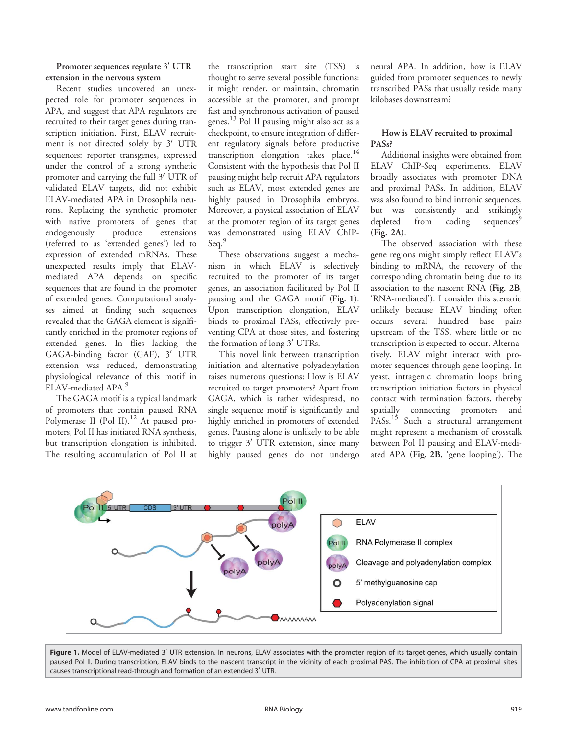## Promoter sequences regulate 3' UTR extension in the nervous system

Recent studies uncovered an unexpected role for promoter sequences in APA, and suggest that APA regulators are recruited to their target genes during transcription initiation. First, ELAV recruitment is not directed solely by 3' UTR sequences: reporter transgenes, expressed under the control of a strong synthetic promoter and carrying the full 3' UTR of validated ELAV targets, did not exhibit ELAV-mediated APA in Drosophila neurons. Replacing the synthetic promoter with native promoters of genes that endogenously produce extensions (referred to as 'extended genes') led to expression of extended mRNAs. These unexpected results imply that ELAVmediated APA depends on specific sequences that are found in the promoter of extended genes. Computational analyses aimed at finding such sequences revealed that the GAGA element is significantly enriched in the promoter regions of extended genes. In flies lacking the GAGA-binding factor  $(GAF)$ ,  $3'$  UTR extension was reduced, demonstrating physiological relevance of this motif in ELAV-mediated APA.<sup>5</sup>

The GAGA motif is a typical landmark of promoters that contain paused RNA Polymerase II (Pol II).<sup>12</sup> At paused promoters, Pol II has initiated RNA synthesis, but transcription elongation is inhibited. The resulting accumulation of Pol II at

the transcription start site (TSS) is thought to serve several possible functions: it might render, or maintain, chromatin accessible at the promoter, and prompt fast and synchronous activation of paused genes.<sup>13</sup> Pol II pausing might also act as a checkpoint, to ensure integration of different regulatory signals before productive transcription elongation takes place.<sup>14</sup> Consistent with the hypothesis that Pol II pausing might help recruit APA regulators such as ELAV, most extended genes are highly paused in Drosophila embryos. Moreover, a physical association of ELAV at the promoter region of its target genes was demonstrated using ELAV ChIP-Seq.<sup>9</sup>

These observations suggest a mechanism in which ELAV is selectively recruited to the promoter of its target genes, an association facilitated by Pol II pausing and the GAGA motif (Fig. 1). Upon transcription elongation, ELAV binds to proximal PASs, effectively preventing CPA at those sites, and fostering the formation of long 3' UTRs.

This novel link between transcription initiation and alternative polyadenylation raises numerous questions: How is ELAV recruited to target promoters? Apart from GAGA, which is rather widespread, no single sequence motif is significantly and highly enriched in promoters of extended genes. Pausing alone is unlikely to be able to trigger  $3'$  UTR extension, since many highly paused genes do not undergo

neural APA. In addition, how is ELAV guided from promoter sequences to newly transcribed PASs that usually reside many kilobases downstream?

## How is ELAV recruited to proximal PASs?

Additional insights were obtained from ELAV ChIP-Seq experiments. ELAV broadly associates with promoter DNA and proximal PASs. In addition, ELAV was also found to bind intronic sequences, but was consistently and strikingly depleted from coding sequences<sup>5</sup> (Fig. 2A).

The observed association with these gene regions might simply reflect ELAV's binding to mRNA, the recovery of the corresponding chromatin being due to its association to the nascent RNA (Fig. 2B, 'RNA-mediated'). I consider this scenario unlikely because ELAV binding often occurs several hundred base pairs upstream of the TSS, where little or no transcription is expected to occur. Alternatively, ELAV might interact with promoter sequences through gene looping. In yeast, intragenic chromatin loops bring transcription initiation factors in physical contact with termination factors, thereby spatially connecting promoters and PASs.<sup>15</sup> Such a structural arrangement might represent a mechanism of crosstalk between Pol II pausing and ELAV-mediated APA (Fig. 2B, 'gene looping'). The



Figure 1. Model of ELAV-mediated 3' UTR extension. In neurons, ELAV associates with the promoter region of its target genes, which usually contain paused Pol II. During transcription, ELAV binds to the nascent transcript in the vicinity of each proximal PAS. The inhibition of CPA at proximal sites causes transcriptional read-through and formation of an extended 3' UTR.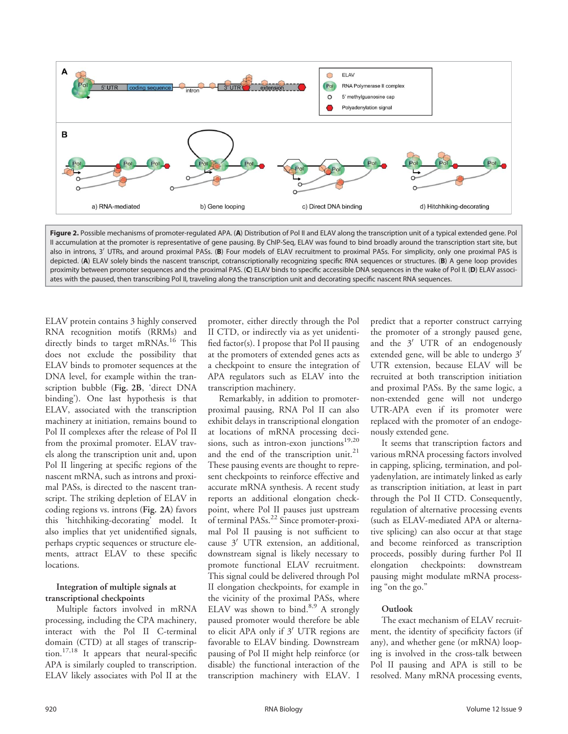

Figure 2. Possible mechanisms of promoter-regulated APA. (A) Distribution of Pol II and ELAV along the transcription unit of a typical extended gene. Pol II accumulation at the promoter is representative of gene pausing. By ChIP-Seq, ELAV was found to bind broadly around the transcription start site, but also in introns, 3<sup>'</sup> UTRs, and around proximal PASs. (B) Four models of ELAV recruitment to proximal PASs. For simplicity, only one proximal PAS is depicted. (A) ELAV solely binds the nascent transcript, cotranscriptionally recognizing specific RNA sequences or structures. (B) A gene loop provides proximity between promoter sequences and the proximal PAS. (C) ELAV binds to specific accessible DNA sequences in the wake of Pol II. (D) ELAV associates with the paused, then transcribing Pol II, traveling along the transcription unit and decorating specific nascent RNA sequences.

ELAV protein contains 3 highly conserved RNA recognition motifs (RRMs) and directly binds to target mRNAs.<sup>16</sup> This does not exclude the possibility that ELAV binds to promoter sequences at the DNA level, for example within the transcription bubble (Fig. 2B, 'direct DNA binding'). One last hypothesis is that ELAV, associated with the transcription machinery at initiation, remains bound to Pol II complexes after the release of Pol II from the proximal promoter. ELAV travels along the transcription unit and, upon Pol II lingering at specific regions of the nascent mRNA, such as introns and proximal PASs, is directed to the nascent transcript. The striking depletion of ELAV in coding regions vs. introns (Fig. 2A) favors this 'hitchhiking-decorating' model. It also implies that yet unidentified signals, perhaps cryptic sequences or structure elements, attract ELAV to these specific locations.

### Integration of multiple signals at transcriptional checkpoints

Multiple factors involved in mRNA processing, including the CPA machinery, interact with the Pol II C-terminal domain (CTD) at all stages of transcription.<sup>17,18</sup> It appears that neural-specific APA is similarly coupled to transcription. ELAV likely associates with Pol II at the

promoter, either directly through the Pol II CTD, or indirectly via as yet unidentified factor(s). I propose that Pol II pausing at the promoters of extended genes acts as a checkpoint to ensure the integration of APA regulators such as ELAV into the transcription machinery.

Remarkably, in addition to promoterproximal pausing, RNA Pol II can also exhibit delays in transcriptional elongation at locations of mRNA processing decisions, such as intron-exon junctions $19,20$ and the end of the transcription unit.<sup>21</sup> These pausing events are thought to represent checkpoints to reinforce effective and accurate mRNA synthesis. A recent study reports an additional elongation checkpoint, where Pol II pauses just upstream of terminal PASs.<sup>22</sup> Since promoter-proximal Pol II pausing is not sufficient to cause  $3'$  UTR extension, an additional, downstream signal is likely necessary to promote functional ELAV recruitment. This signal could be delivered through Pol II elongation checkpoints, for example in the vicinity of the proximal PASs, where ELAV was shown to bind.<sup>8,9</sup> A strongly paused promoter would therefore be able to elicit APA only if 3' UTR regions are favorable to ELAV binding. Downstream pausing of Pol II might help reinforce (or disable) the functional interaction of the transcription machinery with ELAV. I

predict that a reporter construct carrying the promoter of a strongly paused gene, and the  $3'$  UTR of an endogenously extended gene, will be able to undergo  $3'$ UTR extension, because ELAV will be recruited at both transcription initiation and proximal PASs. By the same logic, a non-extended gene will not undergo UTR-APA even if its promoter were replaced with the promoter of an endogenously extended gene.

It seems that transcription factors and various mRNA processing factors involved in capping, splicing, termination, and polyadenylation, are intimately linked as early as transcription initiation, at least in part through the Pol II CTD. Consequently, regulation of alternative processing events (such as ELAV-mediated APA or alternative splicing) can also occur at that stage and become reinforced as transcription proceeds, possibly during further Pol II elongation checkpoints: downstream pausing might modulate mRNA processing "on the go."

## Outlook

The exact mechanism of ELAV recruitment, the identity of specificity factors (if any), and whether gene (or mRNA) looping is involved in the cross-talk between Pol II pausing and APA is still to be resolved. Many mRNA processing events,